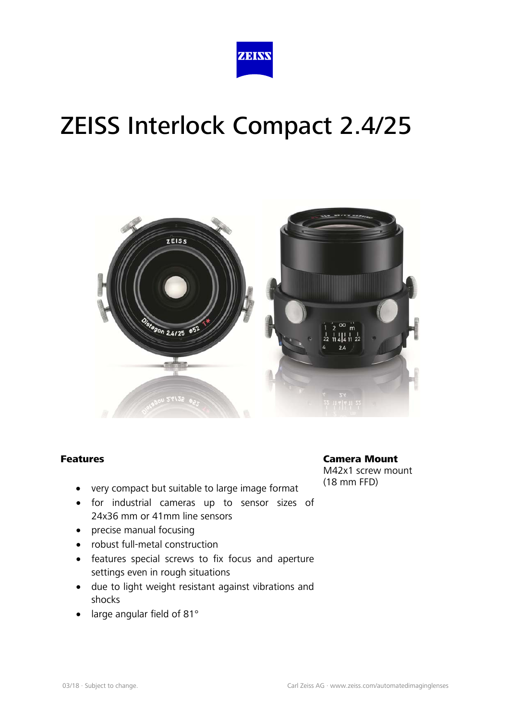



#### Features

- very compact but suitable to large image format
- for industrial cameras up to sensor sizes of 24x36 mm or 41mm line sensors
- precise manual focusing
- robust full-metal construction
- features special screws to fix focus and aperture settings even in rough situations
- due to light weight resistant against vibrations and shocks
- large angular field of 81°

Camera Mount M42x1 screw mount (18 mm FFD)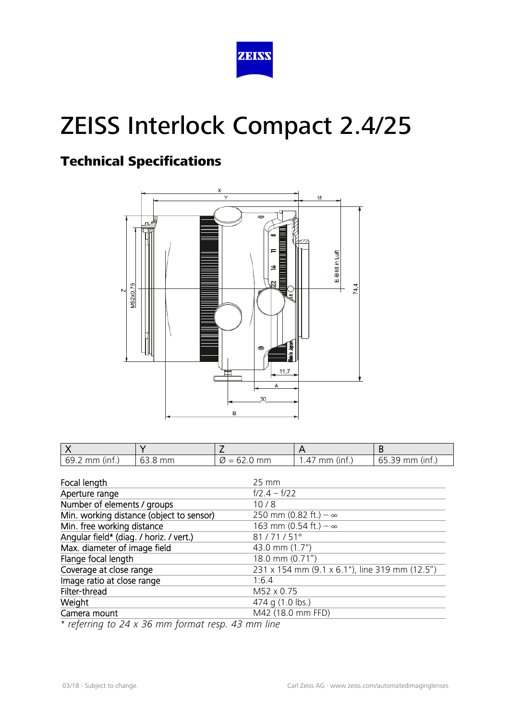

## Technical Specifications



| $69.2$ mm (inf.) | 63.8 mm | $\varnothing$ = 62.0 mm | $\cdot$ 47 mm (inf.) | $65.39$ mm (inf.) |
|------------------|---------|-------------------------|----------------------|-------------------|

| Focal length                             | $25 \, \text{mm}$                              |  |
|------------------------------------------|------------------------------------------------|--|
| Aperture range                           | $f/2.4 - f/22$                                 |  |
| Number of elements / groups              | 10/8                                           |  |
| Min. working distance (object to sensor) | 250 mm (0.82 ft.) – $\infty$                   |  |
| Min. free working distance               | 163 mm (0.54 ft.) $-\infty$                    |  |
| Angular field* (diag. / horiz. / vert.)  | 81/71/51°                                      |  |
| Max. diameter of image field             | 43.0 mm (1.7")                                 |  |
| Flange focal length                      | 18.0 mm (0.71")                                |  |
| Coverage at close range                  | 231 x 154 mm (9.1 x 6.1"), line 319 mm (12.5") |  |
| Image ratio at close range               | 1:6.4                                          |  |
| Filter-thread                            | M52 x 0.75                                     |  |
| Weight                                   | 474 g (1.0 lbs.)                               |  |
| Camera mount                             | M42 (18.0 mm FFD)                              |  |

*\* referring to 24 x 36 mm format resp. 43 mm line*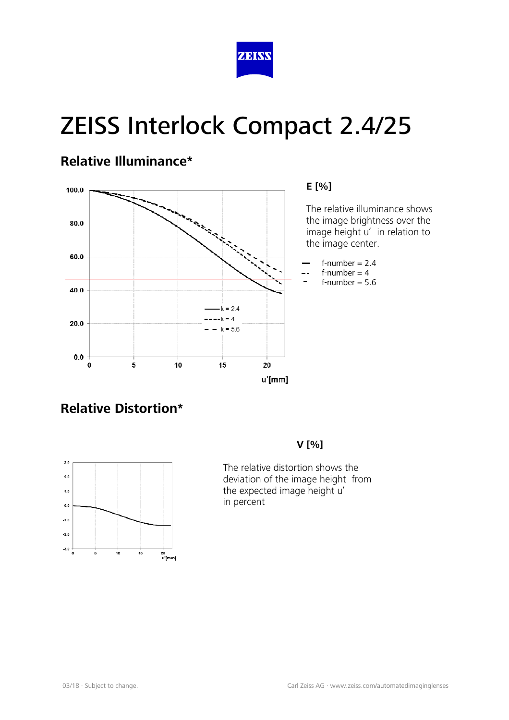

#### **Relative Illuminance\***



## **Relative Distortion\***



#### **V [%]**

The relative distortion shows the deviation of the image height from the expected image height u' in percent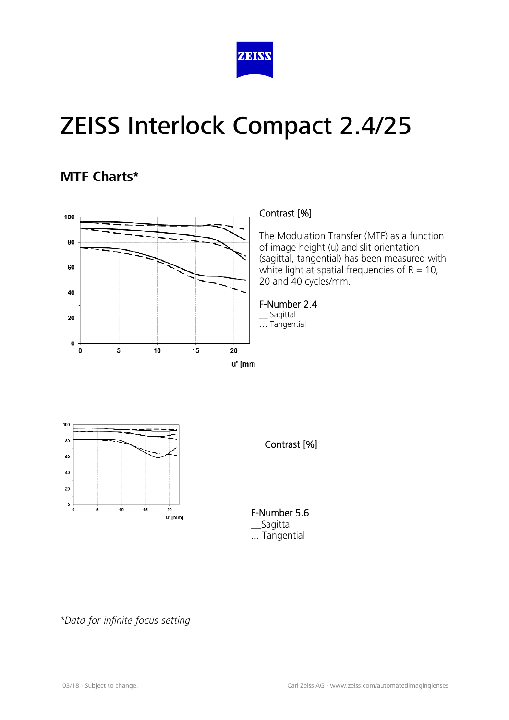

#### **MTF Charts\***



#### Contrast [%]

The Modulation Transfer (MTF) as a function of image height (u) and slit orientation (sagittal, tangential) has been measured with white light at spatial frequencies of  $R = 10$ , 20 and 40 cycles/mm.

#### F-Number 2.4

\_\_ Sagittal … Tangential





F-Number 5.6 \_\_Sagittal ... Tangential

*\*Data for infinite focus setting*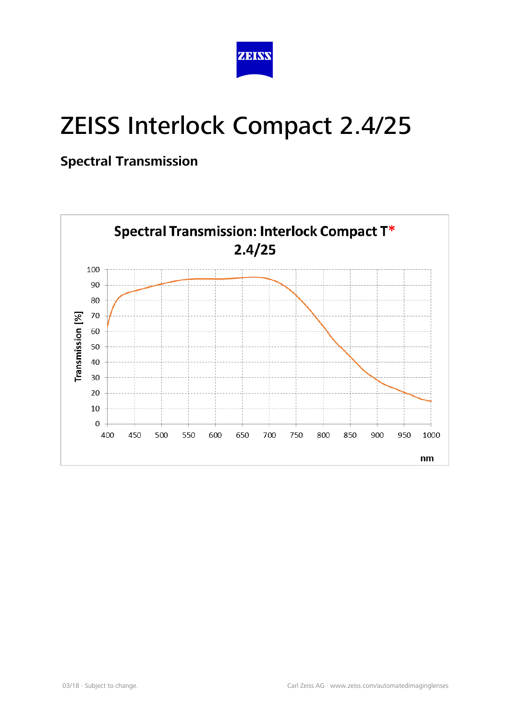

### **Spectral Transmission**